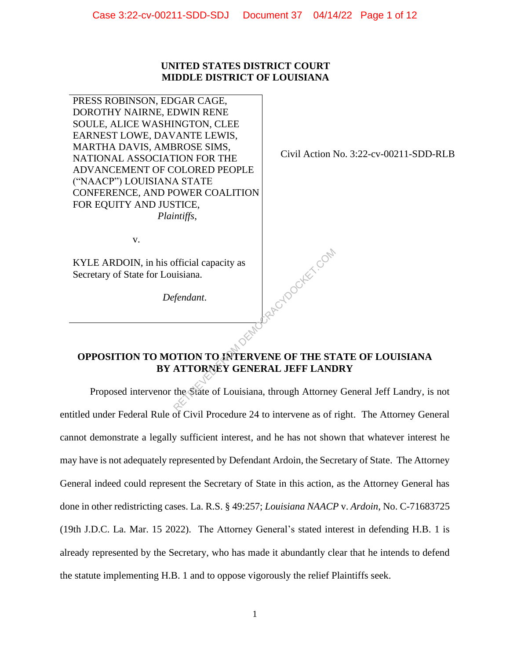### **UNITED STATES DISTRICT COURT MIDDLE DISTRICT OF LOUISIANA**

PRESS ROBINSON, EDGAR CAGE, DOROTHY NAIRNE, EDWIN RENE SOULE, ALICE WASHINGTON, CLEE EARNEST LOWE, DAVANTE LEWIS, MARTHA DAVIS, AMBROSE SIMS, NATIONAL ASSOCIATION FOR THE ADVANCEMENT OF COLORED PEOPLE ("NAACP") LOUISIANA STATE CONFERENCE, AND POWER COALITION FOR EQUITY AND JUSTICE,  *Plaintiffs*,

Civil Action No. 3:22-cv-00211-SDD-RLB

v.

KYLE ARDOIN, in his official capacity as Secretary of State for Louisiana.

*Defendant*.

## **OPPOSITION TO MOTION TO INTERVENE OF THE STATE OF LOUISIANA BY ATTORNEY GENERAL JEFF LANDRY**

Republike com

Proposed intervenor the State of Louisiana, through Attorney General Jeff Landry, is not entitled under Federal Rule of Civil Procedure 24 to intervene as of right. The Attorney General cannot demonstrate a legally sufficient interest, and he has not shown that whatever interest he may have is not adequately represented by Defendant Ardoin, the Secretary of State. The Attorney General indeed could represent the Secretary of State in this action, as the Attorney General has done in other redistricting cases. La. R.S. § 49:257; *Louisiana NAACP* v. *Ardoin*, No. C-71683725 (19th J.D.C. La. Mar. 15 2022). The Attorney General's stated interest in defending H.B. 1 is already represented by the Secretary, who has made it abundantly clear that he intends to defend the statute implementing H.B. 1 and to oppose vigorously the relief Plaintiffs seek.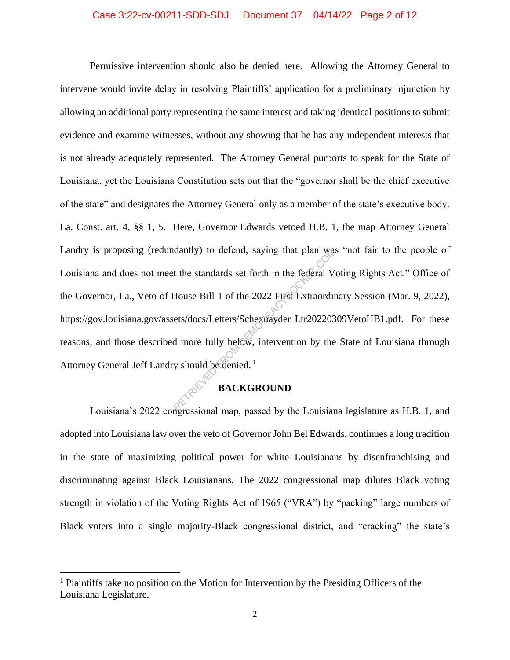Permissive intervention should also be denied here. Allowing the Attorney General to intervene would invite delay in resolving Plaintiffs' application for a preliminary injunction by allowing an additional party representing the same interest and taking identical positions to submit evidence and examine witnesses, without any showing that he has any independent interests that is not already adequately represented. The Attorney General purports to speak for the State of Louisiana, yet the Louisiana Constitution sets out that the "governor shall be the chief executive of the state" and designates the Attorney General only as a member of the state's executive body. La. Const. art. 4, §§ 1, 5. Here, Governor Edwards vetoed H.B. 1, the map Attorney General Landry is proposing (redundantly) to defend, saying that plan was "not fair to the people of Louisiana and does not meet the standards set forth in the federal Voting Rights Act." Office of the Governor, La., Veto of House Bill 1 of the 2022 First Extraordinary Session (Mar. 9, 2022), https://gov.louisiana.gov/assets/docs/Letters/Schexnayder Ltr20220309VetoHB1.pdf. For these reasons, and those described more fully below, intervention by the State of Louisiana through Attorney General Jeff Landry should be denied.<sup>1</sup> dantly) to defend, saying that plan was<br>t the standards set forth in the federal V<br>House Bill 1 of the 2022 First Extraordin<br>ets/docs/Letters/Schexnayder Ltr202203<br>d more fully below, intervention by the<br>y should be denied

## **BACKGROUND**

Louisiana's 2022 congressional map, passed by the Louisiana legislature as H.B. 1, and adopted into Louisiana law over the veto of Governor John Bel Edwards, continues a long tradition in the state of maximizing political power for white Louisianans by disenfranchising and discriminating against Black Louisianans. The 2022 congressional map dilutes Black voting strength in violation of the Voting Rights Act of 1965 ("VRA") by "packing" large numbers of Black voters into a single majority-Black congressional district, and "cracking" the state's

<sup>&</sup>lt;sup>1</sup> Plaintiffs take no position on the Motion for Intervention by the Presiding Officers of the Louisiana Legislature.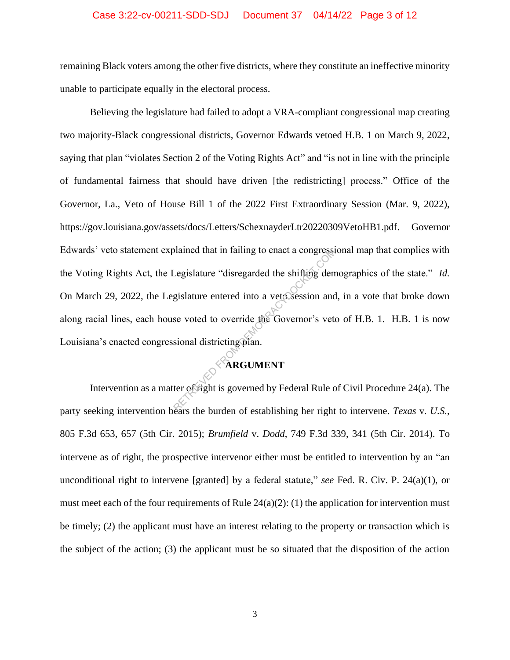#### Case 3:22-cv-00211-SDD-SDJ Document 37 04/14/22 Page 3 of 12

remaining Black voters among the other five districts, where they constitute an ineffective minority unable to participate equally in the electoral process.

Believing the legislature had failed to adopt a VRA-compliant congressional map creating two majority-Black congressional districts, Governor Edwards vetoed H.B. 1 on March 9, 2022, saying that plan "violates Section 2 of the Voting Rights Act" and "is not in line with the principle of fundamental fairness that should have driven [the redistricting] process." Office of the Governor, La., Veto of House Bill 1 of the 2022 First Extraordinary Session (Mar. 9, 2022), https://gov.louisiana.gov/assets/docs/Letters/SchexnayderLtr20220309VetoHB1.pdf. Governor Edwards' veto statement explained that in failing to enact a congressional map that complies with the Voting Rights Act, the Legislature "disregarded the shifting demographics of the state." *Id.*  On March 29, 2022, the Legislature entered into a veto session and, in a vote that broke down along racial lines, each house voted to override the Governor's veto of H.B. 1. H.B. 1 is now Louisiana's enacted congressional districting plan. Diamed that in failing to enact a congressi-<br>
Legislature "disregarded the shifting dem<br>
gislature entered into a veto session and<br>
se voted to override the Governor's veto<br>
sional districting plan.<br> **ARGUMENT**<br>
ter of rig

### **ARGUMENT**

Intervention as a matter of right is governed by Federal Rule of Civil Procedure 24(a). The party seeking intervention bears the burden of establishing her right to intervene. *Texas* v. *U.S.*, 805 F.3d 653, 657 (5th Cir. 2015); *Brumfield* v. *Dodd*, 749 F.3d 339, 341 (5th Cir. 2014). To intervene as of right, the prospective intervenor either must be entitled to intervention by an "an unconditional right to intervene [granted] by a federal statute," *see* Fed. R. Civ. P. 24(a)(1), or must meet each of the four requirements of Rule  $24(a)(2)$ : (1) the application for intervention must be timely; (2) the applicant must have an interest relating to the property or transaction which is the subject of the action; (3) the applicant must be so situated that the disposition of the action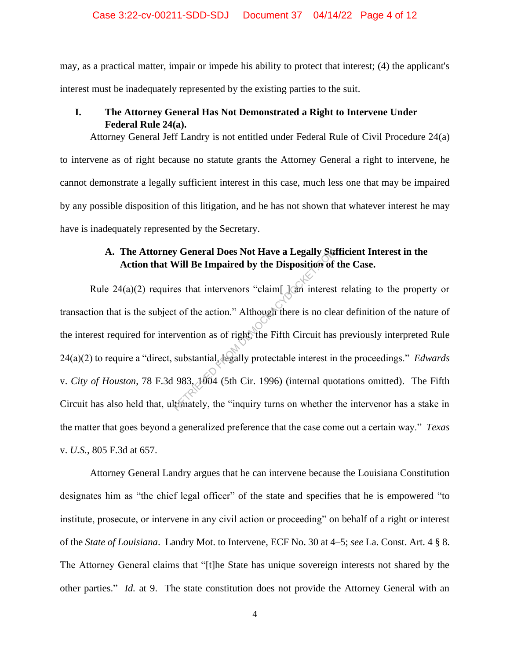may, as a practical matter, impair or impede his ability to protect that interest; (4) the applicant's interest must be inadequately represented by the existing parties to the suit.

### **I. The Attorney General Has Not Demonstrated a Right to Intervene Under Federal Rule 24(a).**

Attorney General Jeff Landry is not entitled under Federal Rule of Civil Procedure 24(a) to intervene as of right because no statute grants the Attorney General a right to intervene, he cannot demonstrate a legally sufficient interest in this case, much less one that may be impaired by any possible disposition of this litigation, and he has not shown that whatever interest he may have is inadequately represented by the Secretary.

## **A. The Attorney General Does Not Have a Legally Sufficient Interest in the Action that Will Be Impaired by the Disposition of the Case.**

Rule 24(a)(2) requires that intervenors "claim  $\lceil$  and interest relating to the property or transaction that is the subject of the action." Although there is no clear definition of the nature of the interest required for intervention as of right, the Fifth Circuit has previously interpreted Rule 24(a)(2) to require a "direct, substantial, legally protectable interest in the proceedings." *Edwards*  v. *City of Houston*, 78 F.3d 983, 1004 (5th Cir. 1996) (internal quotations omitted). The Fifth Circuit has also held that, ultimately, the "inquiry turns on whether the intervenor has a stake in the matter that goes beyond a generalized preference that the case come out a certain way." *Texas*  v. *U.S.*, 805 F.3d at 657. **Surfare a Legally Surfare a Moreover Section** Will Be Impaired by the Disposition of<br>es that intervenors "claim[] and interest<br>t of the action." Although there is no cle<br>rvention as of right, the Fifth Circuit has<br>substan

Attorney General Landry argues that he can intervene because the Louisiana Constitution designates him as "the chief legal officer" of the state and specifies that he is empowered "to institute, prosecute, or intervene in any civil action or proceeding" on behalf of a right or interest of the *State of Louisiana*. Landry Mot. to Intervene, ECF No. 30 at 4–5; *see* La. Const. Art. 4 § 8. The Attorney General claims that "[t]he State has unique sovereign interests not shared by the other parties." *Id.* at 9. The state constitution does not provide the Attorney General with an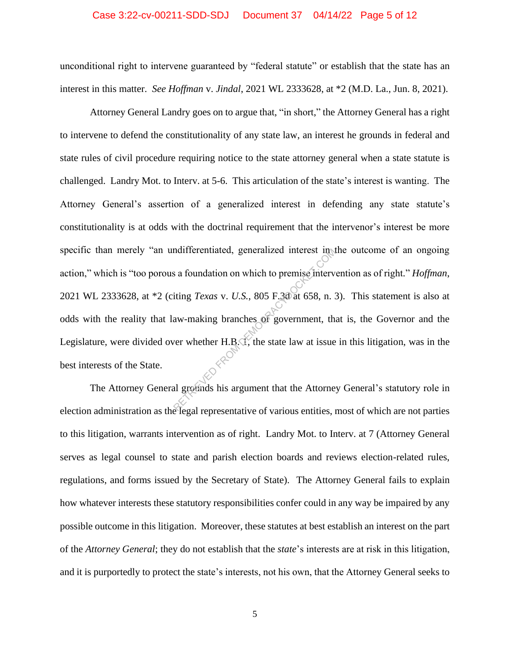#### Case 3:22-cv-00211-SDD-SDJ Document 37 04/14/22 Page 5 of 12

unconditional right to intervene guaranteed by "federal statute" or establish that the state has an interest in this matter. *See Hoffman* v. *Jindal*, 2021 WL 2333628, at \*2 (M.D. La., Jun. 8, 2021).

Attorney General Landry goes on to argue that, "in short," the Attorney General has a right to intervene to defend the constitutionality of any state law, an interest he grounds in federal and state rules of civil procedure requiring notice to the state attorney general when a state statute is challenged. Landry Mot. to Interv. at 5-6. This articulation of the state's interest is wanting. The Attorney General's assertion of a generalized interest in defending any state statute's constitutionality is at odds with the doctrinal requirement that the intervenor's interest be more specific than merely "an undifferentiated, generalized interest in the outcome of an ongoing action," which is "too porous a foundation on which to premise intervention as of right*.*" *Hoffman*, 2021 WL 2333628, at \*2 (citing *Texas* v. *U.S.*, 805 F.3d at 658, n. 3). This statement is also at odds with the reality that law-making branches of government, that is, the Governor and the Legislature, were divided over whether  $H.R.\vec{1}$ , the state law at issue in this litigation, was in the best interests of the State. and iterest in the same of the same of the same interventing *Texas* v. *U.S.*, 805 F.30 at 658, n. 3<br>aw-making branches of government, the ver whether H.B.O., the state law at issue

The Attorney General grounds his argument that the Attorney General's statutory role in election administration as the legal representative of various entities, most of which are not parties to this litigation, warrants intervention as of right. Landry Mot. to Interv. at 7 (Attorney General serves as legal counsel to state and parish election boards and reviews election-related rules, regulations, and forms issued by the Secretary of State). The Attorney General fails to explain how whatever interests these statutory responsibilities confer could in any way be impaired by any possible outcome in this litigation. Moreover, these statutes at best establish an interest on the part of the *Attorney General*; they do not establish that the *state*'s interests are at risk in this litigation, and it is purportedly to protect the state's interests, not his own, that the Attorney General seeks to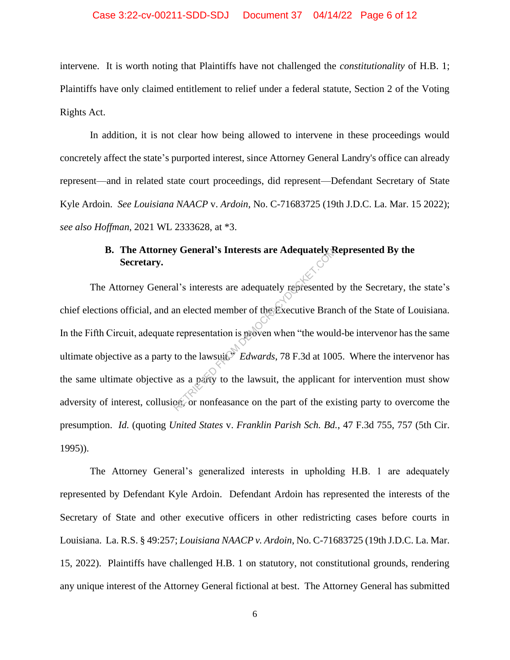#### Case 3:22-cv-00211-SDD-SDJ Document 37 04/14/22 Page 6 of 12

intervene. It is worth noting that Plaintiffs have not challenged the *constitutionality* of H.B. 1; Plaintiffs have only claimed entitlement to relief under a federal statute, Section 2 of the Voting Rights Act.

In addition, it is not clear how being allowed to intervene in these proceedings would concretely affect the state's purported interest, since Attorney General Landry's office can already represent—and in related state court proceedings, did represent—Defendant Secretary of State Kyle Ardoin. *See Louisiana NAACP* v. *Ardoin*, No. C-71683725 (19th J.D.C. La. Mar. 15 2022); *see also Hoffman*, 2021 WL 2333628, at \*3.

## **B. The Attorney General's Interests are Adequately Represented By the Secretary.**

The Attorney General's interests are adequately represented by the Secretary, the state's chief elections official, and an elected member of the Executive Branch of the State of Louisiana. In the Fifth Circuit, adequate representation is proven when "the would-be intervenor has the same ultimate objective as a party to the lawsuit.<sup>9</sup> *Edwards*, 78 F.3d at 1005. Where the intervenor has the same ultimate objective as a party to the lawsuit, the applicant for intervention must show adversity of interest, collusion, or nonfeasance on the part of the existing party to overcome the presumption. *Id.* (quoting *United States* v. *Franklin Parish Sch. Bd.*, 47 F.3d 755, 757 (5th Cir. 1995)). W General's Interests are Adequately<br>al's interests are adequately represented<br>an elected member of the Executive Branches<br>representation is proven when "the woull<br>to the lawsuit, Tames are a party to the lawsuit, the appl

The Attorney General's generalized interests in upholding H.B. 1 are adequately represented by Defendant Kyle Ardoin. Defendant Ardoin has represented the interests of the Secretary of State and other executive officers in other redistricting cases before courts in Louisiana. La. R.S. § 49:257; *Louisiana NAACP v. Ardoin*, No. C-71683725 (19th J.D.C. La. Mar. 15, 2022). Plaintiffs have challenged H.B. 1 on statutory, not constitutional grounds, rendering any unique interest of the Attorney General fictional at best. The Attorney General has submitted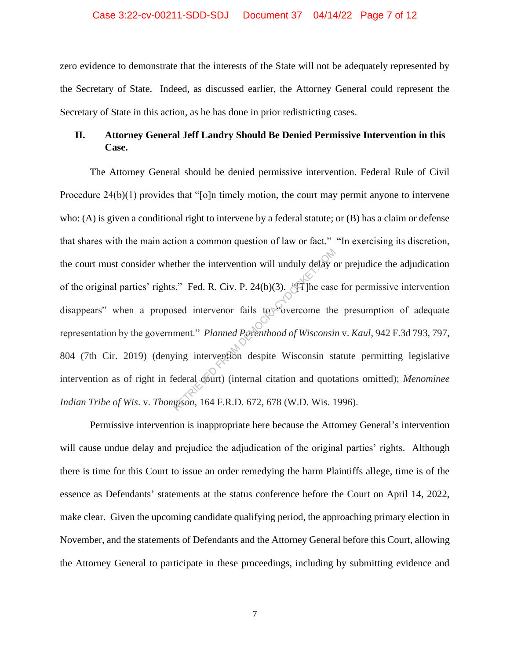#### Case 3:22-cv-00211-SDD-SDJ Document 37 04/14/22 Page 7 of 12

zero evidence to demonstrate that the interests of the State will not be adequately represented by the Secretary of State. Indeed, as discussed earlier, the Attorney General could represent the Secretary of State in this action, as he has done in prior redistricting cases.

## **II. Attorney General Jeff Landry Should Be Denied Permissive Intervention in this Case.**

The Attorney General should be denied permissive intervention. Federal Rule of Civil Procedure 24(b)(1) provides that "[o]n timely motion, the court may permit anyone to intervene who: (A) is given a conditional right to intervene by a federal statute; or (B) has a claim or defense that shares with the main action a common question of law or fact." "In exercising its discretion, the court must consider whether the intervention will unduly delay or prejudice the adjudication of the original parties' rights." Fed. R. Civ. P. 24(b)(3). "[T]he case for permissive intervention disappears" when a proposed intervenor fails to vercome the presumption of adequate representation by the government." *Planned Parenthood of Wisconsin* v. *Kaul*, 942 F.3d 793, 797, 804 (7th Cir. 2019) (denying intervention despite Wisconsin statute permitting legislative intervention as of right in federal court) (internal citation and quotations omitted); *Menominee Indian Tribe of Wis*. v. *Thompson*, 164 F.R.D. 672, 678 (W.D. Wis. 1996). Example 11 and the intervention will unduly delay of<br>
S." Fed. R. Civ. P. 24(b)(3). "[T] he case<br>
sed intervention fails to covercome the<br>
ment." Planned Parenthood of Wisconsin<br>
ving intervention despite Wisconsin st<br>
ed

Permissive intervention is inappropriate here because the Attorney General's intervention will cause undue delay and prejudice the adjudication of the original parties' rights. Although there is time for this Court to issue an order remedying the harm Plaintiffs allege, time is of the essence as Defendants' statements at the status conference before the Court on April 14, 2022, make clear. Given the upcoming candidate qualifying period, the approaching primary election in November, and the statements of Defendants and the Attorney General before this Court, allowing the Attorney General to participate in these proceedings, including by submitting evidence and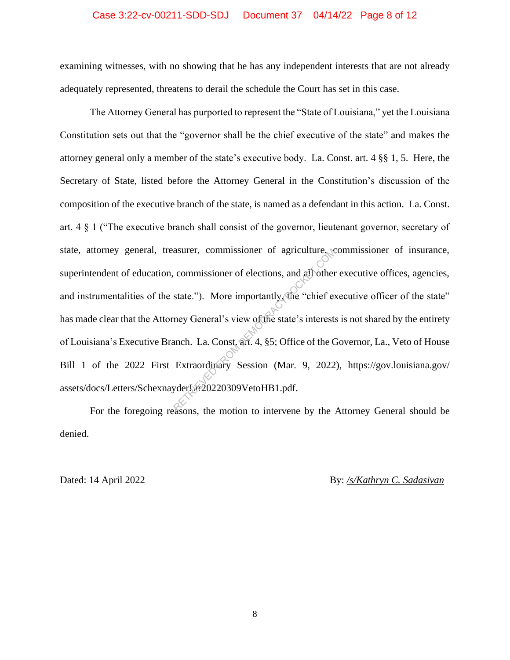#### Case 3:22-cv-00211-SDD-SDJ Document 37 04/14/22 Page 8 of 12

examining witnesses, with no showing that he has any independent interests that are not already adequately represented, threatens to derail the schedule the Court has set in this case.

The Attorney General has purported to represent the "State of Louisiana," yet the Louisiana Constitution sets out that the "governor shall be the chief executive of the state" and makes the attorney general only a member of the state's executive body. La. Const. art. 4 §§ 1, 5. Here, the Secretary of State, listed before the Attorney General in the Constitution's discussion of the composition of the executive branch of the state, is named as a defendant in this action. La. Const. art. 4 § 1 ("The executive branch shall consist of the governor, lieutenant governor, secretary of state, attorney general, treasurer, commissioner of agriculture, commissioner of insurance, superintendent of education, commissioner of elections, and all other executive offices, agencies, and instrumentalities of the state."). More importantly, the "chief executive officer of the state" has made clear that the Attorney General's view of the state's interests is not shared by the entirety of Louisiana's Executive Branch. La. Const. art. 4, §5; Office of the Governor, La., Veto of House Bill 1 of the 2022 First Extraordinary Session (Mar. 9, 2022), https://gov.louisiana.gov/ assets/docs/Letters/SchexnayderLtr20220309VetoHB1.pdf. asurer, commissioner of agriculture, commissioner of elections, and all other<br>state."). More importantly the "chief ex<br>ney General's view of the state's interests<br>anch. La. Const. art. 4, §5; Office of the C<br>Extraordinary

For the foregoing reasons, the motion to intervene by the Attorney General should be denied.

Dated: 14 April 2022 By: */s/Kathryn C. Sadasivan*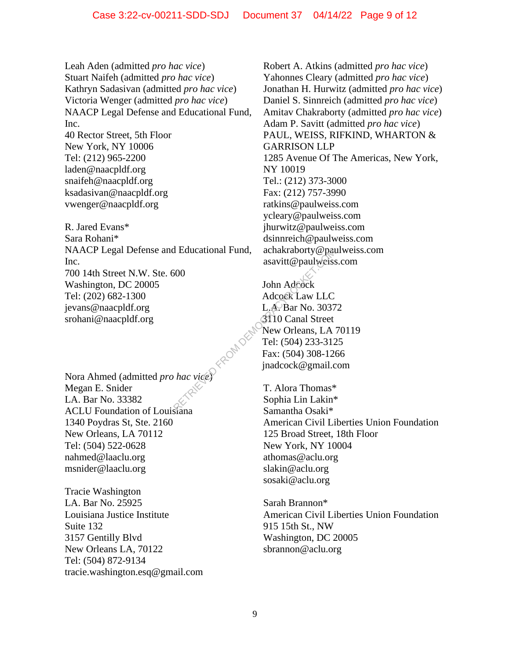Leah Aden (admitted *pro hac vice*) Stuart Naifeh (admitted *pro hac vice*) Kathryn Sadasivan (admitted *pro hac vice*) Victoria Wenger (admitted *pro hac vice*) NAACP Legal Defense and Educational Fund, Inc. 40 Rector Street, 5th Floor New York, NY 10006 Tel: (212) 965-2200 laden@naacpldf.org snaifeh@naacpldf.org

ksadasivan@naacpldf.org vwenger@naacpldf.org

R. Jared Evans\* Sara Rohani\* NAACP Legal Defense and Educational Fund, Inc. 700 14th Street N.W. Ste. 600 Washington, DC 20005 Tel: (202) 682-1300 jevans@naacpldf.org srohani@naacpldf.org

Nora Ahmed (admitted *pro hac vice*) Megan E. Snider LA. Bar No. 33382 ACLU Foundation of Louisiana 1340 Poydras St, Ste. 2160 New Orleans, LA 70112 Tel: (504) 522-0628 nahmed@laaclu.org msnider@laaclu.org

Tracie Washington LA. Bar No. 25925 Louisiana Justice Institute Suite 132 3157 Gentilly Blvd New Orleans LA, 70122 Tel: (504) 872-9134 tracie.washington.esq@gmail.com Robert A. Atkins (admitted *pro hac vice*) Yahonnes Cleary (admitted *pro hac vice*) Jonathan H. Hurwitz (admitted *pro hac vice*) Daniel S. Sinnreich (admitted *pro hac vice*) Amitav Chakraborty (admitted *pro hac vice*) Adam P. Savitt (admitted *pro hac vice*) PAUL, WEISS, RIFKIND, WHARTON & GARRISON LLP 1285 Avenue Of The Americas, New York, NY 10019 Tel.: (212) 373-3000 Fax: (212) 757-3990 ratkins@paulweiss.com ycleary@paulweiss.com jhurwitz@paulweiss.com dsinnreich@paulweiss.com achakraborty@paulweiss.com asavitt@paulweiss.com

John Adcock Adcock Law LLC L.A. Bar No. 30372 3110 Canal Street New Orleans, LA 70119 Tel: (504) 233-3125 Fax: (504) 308-1266 jnadcock@gmail.com REDUCATION CONSUMERS ASSEMBLY CONSUMERS ACCORACY AND CONSUMERS ACCORACY AND LOCAL AND LOCAL BATTEL: (504) 233-312<br>
FROM DEMOCRACY COMPANY CONSUMERS CONSUMERS CONSUMERS CONSUMERS CONSUMERS CONSUMERS CONSUMERS CONSUMERS CON

T. Alora Thomas\* Sophia Lin Lakin\* Samantha Osaki\* American Civil Liberties Union Foundation 125 Broad Street, 18th Floor New York, NY 10004 athomas@aclu.org slakin@aclu.org sosaki@aclu.org

Sarah Brannon\* American Civil Liberties Union Foundation 915 15th St., NW Washington, DC 20005 sbrannon@aclu.org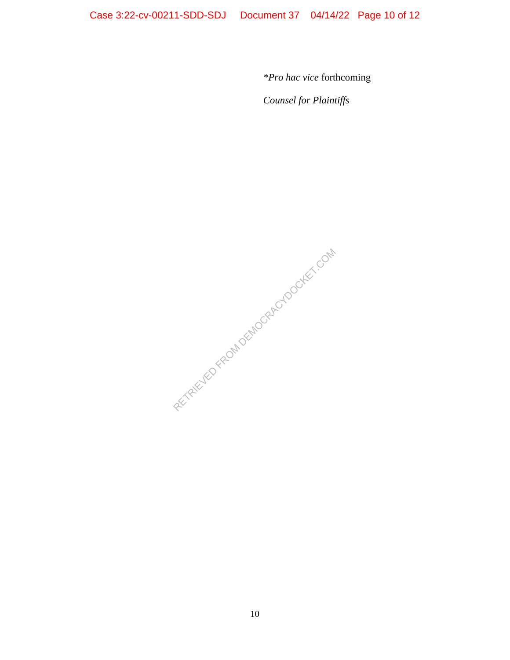*\*Pro hac vice* forthcoming

*Counsel for Plaintiffs*

RECTRIEVED FROM DEMOCRACYDOCKET.COM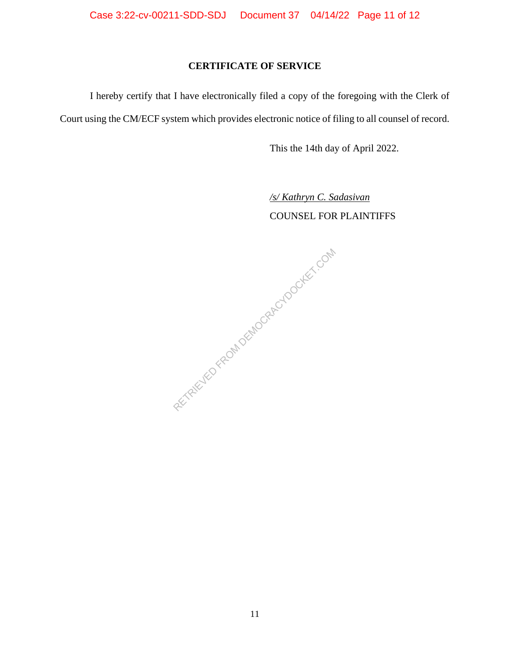# **CERTIFICATE OF SERVICE**

I hereby certify that I have electronically filed a copy of the foregoing with the Clerk of Court using the CM/ECF system which provides electronic notice of filing to all counsel of record.

This the 14th day of April 2022.

*/s/ Kathryn C. Sadasivan*

COUNSEL FOR PLAINTIFFS

RETRIEVED FROM DEMOCRACYDOCKET.COM